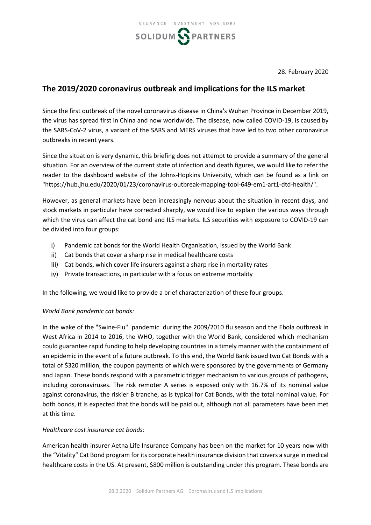28. February 2020

# **The 2019/2020 coronavirus outbreak and implications for the ILS market**

Since the first outbreak of the novel coronavirus disease in China's Wuhan Province in December 2019, the virus has spread first in China and now worldwide. The disease, now called COVID-19, is caused by the SARS-CoV-2 virus, a variant of the SARS and MERS viruses that have led to two other coronavirus outbreaks in recent years.

Since the situation is very dynamic, this briefing does not attempt to provide a summary of the general situation. For an overview of the current state of infection and death figures, we would like to refer the reader to the dashboard website of the Johns-Hopkins University, which can be found as a link on "https://hub.jhu.edu/2020/01/23/coronavirus-outbreak-mapping-tool-649-em1-art1-dtd-health/".

However, as general markets have been increasingly nervous about the situation in recent days, and stock markets in particular have corrected sharply, we would like to explain the various ways through which the virus can affect the cat bond and ILS markets. ILS securities with exposure to COVID-19 can be divided into four groups:

- Pandemic cat bonds for the World Health Organisation, issued by the World Bank  $\mathsf{i}$
- ii) Cat bonds that cover a sharp rise in medical healthcare costs
- iii) Cat bonds, which cover life insurers against a sharp rise in mortality rates
- iv) Private transactions, in particular with a focus on extreme mortality

In the following, we would like to provide a brief characterization of these four groups.

# *World Bank pandemic cat bonds:*

In the wake of the "Swine-Flu" pandemic during the 2009/2010 flu season and the Ebola outbreak in West Africa in 2014 to 2016, the WHO, together with the World Bank, considered which mechanism could guarantee rapid funding to help developing countries in a timely manner with the containment of an epidemic in the event of a future outbreak. To this end, the World Bank issued two Cat Bonds with a total of \$320 million, the coupon payments of which were sponsored by the governments of Germany and Japan. These bonds respond with a parametric trigger mechanism to various groups of pathogens, including coronaviruses. The risk remoter A series is exposed only with 16.7% of its nominal value against coronavirus, the riskier B tranche, as is typical for Cat Bonds, with the total nominal value. For both bonds, it is expected that the bonds will be paid out, although not all parameters have been met at this time.

# *Healthcare cost insurance cat bonds:*

American health insurer Aetna Life Insurance Company has been on the market for 10 years now with the "Vitality" Cat Bond program for its corporate health insurance division that covers a surge in medical healthcare costs in the US. At present, \$800 million is outstanding under this program. These bonds are